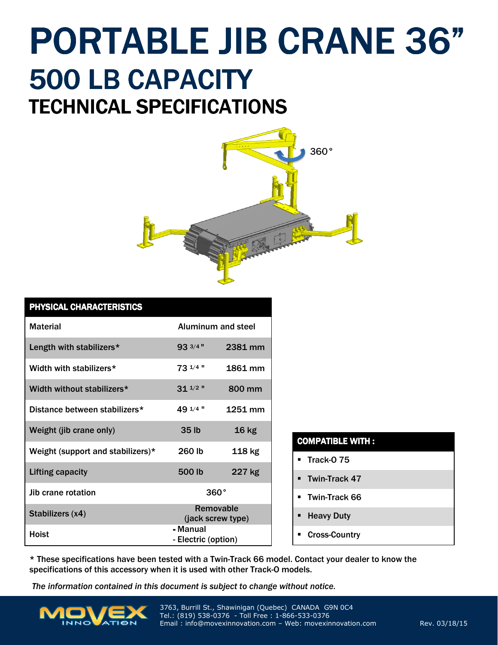## TECHNICAL SPECIFICATIONS PORTABLE JIB CRANE 36" 500 LB CAPACITY



| PHYSICAL CHARACTERISTICS          |                                 |                    |  |
|-----------------------------------|---------------------------------|--------------------|--|
| <b>Material</b>                   |                                 | Aluminum and steel |  |
| Length with stabilizers*          | 93 3/4 "                        | 2381 mm            |  |
| Width with stabilizers*           | 73 1/4 "                        | 1861 mm            |  |
| Width without stabilizers*        | $31^{1/2}$ "                    | 800 mm             |  |
| Distance between stabilizers*     | 49 1/4 "                        | 1251 mm            |  |
| Weight (jib crane only)           | 35 <sub>lb</sub>                | 16 <sub>kg</sub>   |  |
| Weight (support and stabilizers)* | 260 lb                          | 118 kg             |  |
| <b>Lifting capacity</b>           | 500 lb                          | 227 kg             |  |
| Jib crane rotation                | $360^\circ$                     |                    |  |
| Stabilizers (x4)                  | Removable<br>(jack screw type)  |                    |  |
| <b>Hoist</b>                      | - Manual<br>- Electric (option) |                    |  |

\* These specifications have been tested with a Twin-Track 66 model. Contact your dealer to know the specifications of this accessory when it is used with other Track-O models.

The information contained in this document is subject to change without notice.



3763, Burrill St., Shawinigan (Quebec) CANADA G9N 0C4 Tel.: (819) 538-0376 - Toll Free : 1-866-533-0376 Email: info@movexinnovation.com – Web: movexinnovation.com Rev. 03/18/15